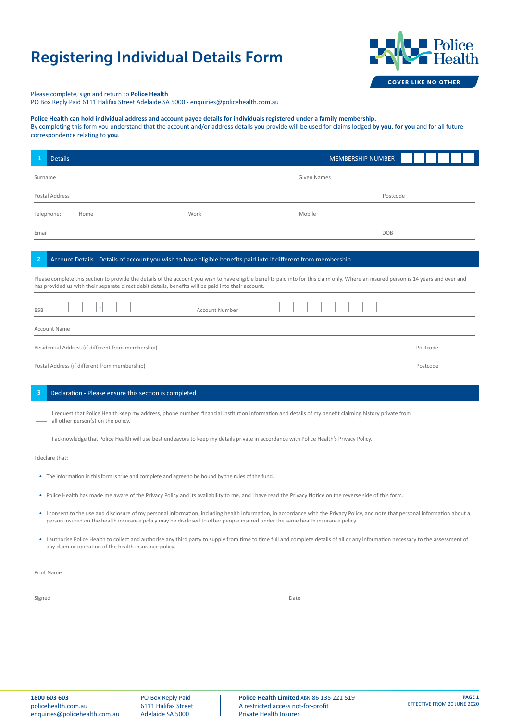## Registering Individual Details Form



Please complete, sign and return to **Police Health** 

PO Box Reply Paid 6111 Halifax Street Adelaide SA 5000 - enquiries@policehealth.com.au

## **Police Health can hold individual address and account payee details for individuals registered under a family membership.**

By completing this form you understand that the account and/or address details you provide will be used for claims lodged **by you**, **for you** and for all future correspondence relating to **you**.

|                                                                                                                                                                                                                                                                                                                                       | <b>Details</b>                                                                                                                                                                                                                                                                                                                                                                                                                                                                                                                                                                                                                                                                                                                                                                                                                                        |                                                                                                                | <b>MEMBERSHIP NUMBER</b> |                      |  |
|---------------------------------------------------------------------------------------------------------------------------------------------------------------------------------------------------------------------------------------------------------------------------------------------------------------------------------------|-------------------------------------------------------------------------------------------------------------------------------------------------------------------------------------------------------------------------------------------------------------------------------------------------------------------------------------------------------------------------------------------------------------------------------------------------------------------------------------------------------------------------------------------------------------------------------------------------------------------------------------------------------------------------------------------------------------------------------------------------------------------------------------------------------------------------------------------------------|----------------------------------------------------------------------------------------------------------------|--------------------------|----------------------|--|
| <b>Given Names</b><br>Surname                                                                                                                                                                                                                                                                                                         |                                                                                                                                                                                                                                                                                                                                                                                                                                                                                                                                                                                                                                                                                                                                                                                                                                                       |                                                                                                                |                          |                      |  |
| Postal Address<br>Postcode                                                                                                                                                                                                                                                                                                            |                                                                                                                                                                                                                                                                                                                                                                                                                                                                                                                                                                                                                                                                                                                                                                                                                                                       |                                                                                                                |                          |                      |  |
| Telephone:                                                                                                                                                                                                                                                                                                                            | Home                                                                                                                                                                                                                                                                                                                                                                                                                                                                                                                                                                                                                                                                                                                                                                                                                                                  | Work                                                                                                           | Mobile                   |                      |  |
| Email                                                                                                                                                                                                                                                                                                                                 |                                                                                                                                                                                                                                                                                                                                                                                                                                                                                                                                                                                                                                                                                                                                                                                                                                                       |                                                                                                                | <b>DOB</b>               |                      |  |
| $\overline{2}$                                                                                                                                                                                                                                                                                                                        |                                                                                                                                                                                                                                                                                                                                                                                                                                                                                                                                                                                                                                                                                                                                                                                                                                                       | Account Details - Details of account you wish to have eligible benefits paid into if different from membership |                          |                      |  |
| Please complete this section to provide the details of the account you wish to have eligible benefits paid into for this claim only. Where an insured person is 14 years and over and<br>has provided us with their separate direct debit details, benefits will be paid into their account.<br><b>Account Number</b><br><b>BSB</b>   |                                                                                                                                                                                                                                                                                                                                                                                                                                                                                                                                                                                                                                                                                                                                                                                                                                                       |                                                                                                                |                          |                      |  |
|                                                                                                                                                                                                                                                                                                                                       | <b>Account Name</b><br>Residential Address (if different from membership)<br>Postal Address (if different from membership)                                                                                                                                                                                                                                                                                                                                                                                                                                                                                                                                                                                                                                                                                                                            |                                                                                                                |                          | Postcode<br>Postcode |  |
| 3                                                                                                                                                                                                                                                                                                                                     | Declaration - Please ensure this section is completed                                                                                                                                                                                                                                                                                                                                                                                                                                                                                                                                                                                                                                                                                                                                                                                                 |                                                                                                                |                          |                      |  |
| I request that Police Health keep my address, phone number, financial institution information and details of my benefit claiming history private from<br>all other person(s) on the policy.<br>I acknowledge that Police Health will use best endeavors to keep my details private in accordance with Police Health's Privacy Policy. |                                                                                                                                                                                                                                                                                                                                                                                                                                                                                                                                                                                                                                                                                                                                                                                                                                                       |                                                                                                                |                          |                      |  |
| I declare that:                                                                                                                                                                                                                                                                                                                       |                                                                                                                                                                                                                                                                                                                                                                                                                                                                                                                                                                                                                                                                                                                                                                                                                                                       |                                                                                                                |                          |                      |  |
|                                                                                                                                                                                                                                                                                                                                       | • The information in this form is true and complete and agree to be bound by the rules of the fund.<br>• Police Health has made me aware of the Privacy Policy and its availability to me, and I have read the Privacy Notice on the reverse side of this form.<br>• I consent to the use and disclosure of my personal information, including health information, in accordance with the Privacy Policy, and note that personal information about a<br>person insured on the health insurance policy may be disclosed to other people insured under the same health insurance policy.<br>• I authorise Police Health to collect and authorise any third party to supply from time to time full and complete details of all or any information necessary to the assessment of<br>any claim or operation of the health insurance policy.<br>Print Name |                                                                                                                |                          |                      |  |
|                                                                                                                                                                                                                                                                                                                                       |                                                                                                                                                                                                                                                                                                                                                                                                                                                                                                                                                                                                                                                                                                                                                                                                                                                       |                                                                                                                |                          |                      |  |
| Signed                                                                                                                                                                                                                                                                                                                                |                                                                                                                                                                                                                                                                                                                                                                                                                                                                                                                                                                                                                                                                                                                                                                                                                                                       |                                                                                                                | Date                     |                      |  |